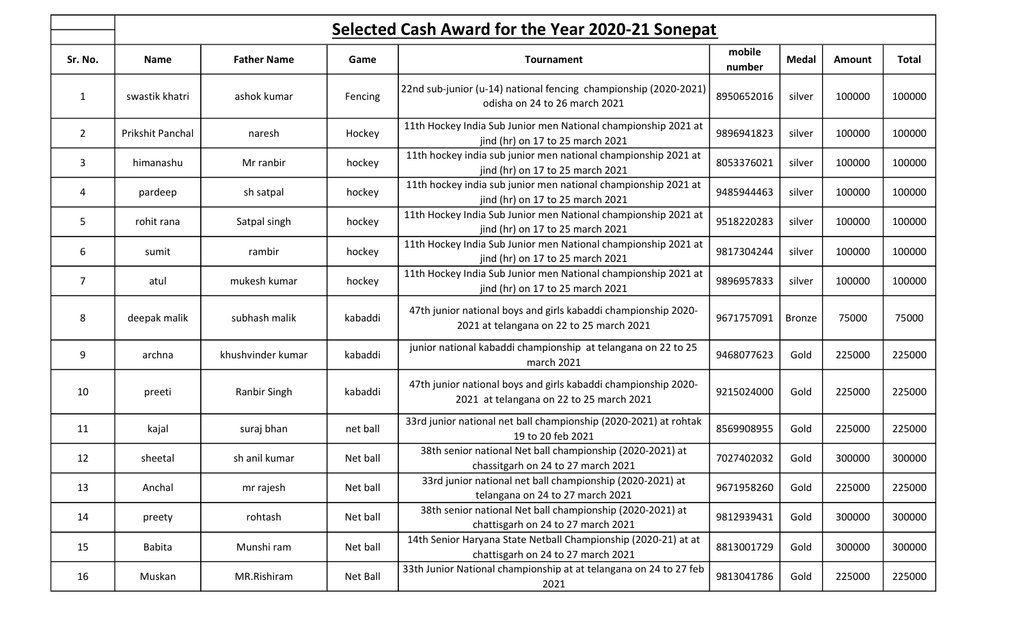|                | Selected Cash Award for the Year 2020-21 Sonepat |                    |          |                                                                                                            |                  |               |        |        |  |  |
|----------------|--------------------------------------------------|--------------------|----------|------------------------------------------------------------------------------------------------------------|------------------|---------------|--------|--------|--|--|
| Sr. No.        | <b>Name</b>                                      | <b>Father Name</b> | Game     | <b>Tournament</b>                                                                                          | mobile<br>number | <b>Medal</b>  | Amount | Total  |  |  |
| $\mathbf{1}$   | swastik khatri                                   | ashok kumar        | Fencing  | 22nd sub-junior (u-14) national fencing championship (2020-2021<br>odisha on 24 to 26 march 2021           | 8950652016       | silver        | 100000 | 100000 |  |  |
| $\overline{2}$ | Prikshit Panchal                                 | naresh             | Hockey   | 11th Hockey India Sub Junior men National championship 2021 at<br>jind (hr) on 17 to 25 march 2021         | 9896941823       | silver        | 100000 | 100000 |  |  |
| 3              | himanashu                                        | Mr ranbir          | hockey   | 11th hockey india sub junior men national championship 2021 at<br>jind (hr) on 17 to 25 march 2021         | 8053376021       | silver        | 100000 | 100000 |  |  |
| 4              | pardeep                                          | sh satpal          | hockey   | 11th hockey india sub junior men national championship 2021 at<br>jind (hr) on 17 to 25 march 2021         | 9485944463       | silver        | 100000 | 100000 |  |  |
| 5              | rohit rana                                       | Satpal singh       | hockey   | 11th Hockey India Sub Junior men National championship 2021 at<br>jind (hr) on 17 to 25 march 2021         | 9518220283       | silver        | 100000 | 100000 |  |  |
| 6              | sumit                                            | rambir             | hockey   | 11th Hockey India Sub Junior men National championship 2021 at<br>jind (hr) on 17 to 25 march 2021         | 9817304244       | silver        | 100000 | 100000 |  |  |
| $\overline{7}$ | atul                                             | mukesh kumar       | hockey   | 11th Hockey India Sub Junior men National championship 2021 at<br>jind (hr) on 17 to 25 march 2021         | 9896957833       | silver        | 100000 | 100000 |  |  |
| 8              | deepak malik                                     | subhash malik      | kabaddi  | 47th junior national boys and girls kabaddi championship 2020-<br>2021 at telangana on 22 to 25 march 2021 | 9671757091       | <b>Bronze</b> | 75000  | 75000  |  |  |
| 9              | archna                                           | khushvinder kumar  | kabaddi  | junior national kabaddi championship at telangana on 22 to 25<br>march 2021                                | 9468077623       | Gold          | 225000 | 225000 |  |  |
| 10             | preeti                                           | Ranbir Singh       | kabaddi  | 47th junior national boys and girls kabaddi championship 2020-<br>2021 at telangana on 22 to 25 march 2021 | 9215024000       | Gold          | 225000 | 225000 |  |  |
| 11             | kajal                                            | suraj bhan         | net ball | 33rd junior national net ball championship (2020-2021) at rohtak<br>19 to 20 feb 2021                      | 8569908955       | Gold          | 225000 | 225000 |  |  |
| 12             | sheetal                                          | sh anil kumar      | Net ball | 38th senior national Net ball championship (2020-2021) at<br>chassitgarh on 24 to 27 march 2021            | 7027402032       | Gold          | 300000 | 300000 |  |  |
| 13             | Anchal                                           | mr rajesh          | Net ball | 33rd junior national net ball championship (2020-2021) at<br>telangana on 24 to 27 march 2021              | 9671958260       | Gold          | 225000 | 225000 |  |  |
| 14             | preety                                           | rohtash            | Net ball | 38th senior national Net ball championship (2020-2021) at<br>chattisgarh on 24 to 27 march 2021            | 9812939431       | Gold          | 300000 | 300000 |  |  |
| 15             | <b>Babita</b>                                    | Munshi ram         | Net ball | 14th Senior Haryana State Netball Championship (2020-21) at at<br>chattisgarh on 24 to 27 march 2021       | 8813001729       | Gold          | 300000 | 300000 |  |  |
| 16             | Muskan                                           | MR.Rishiram        | Net Ball | 33th Junior National championship at at telangana on 24 to 27 feb<br>2021                                  | 9813041786       | Gold          | 225000 | 225000 |  |  |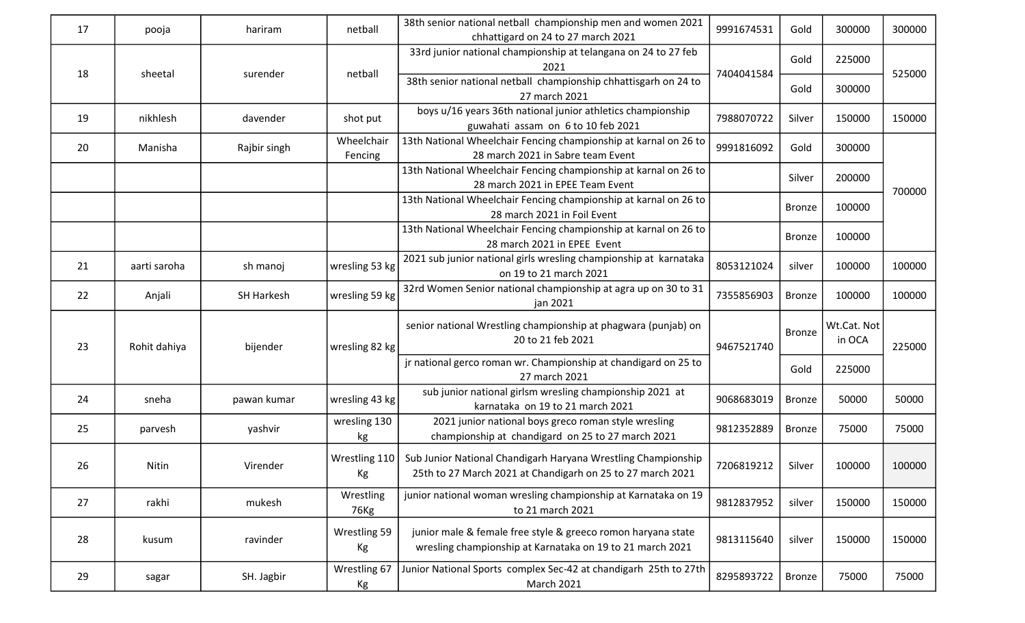| 17 | pooja        | hariram           | netball               | 38th senior national netball championship men and women 2021<br>chhattigard on 24 to 27 march 2021                          | 9991674531 | Gold                                   | 300000 | 300000 |
|----|--------------|-------------------|-----------------------|-----------------------------------------------------------------------------------------------------------------------------|------------|----------------------------------------|--------|--------|
|    |              |                   |                       | 33rd junior national championship at telangana on 24 to 27 feb<br>2021                                                      |            | Gold                                   | 225000 |        |
| 18 | sheetal      | surender          | netball               | 38th senior national netball championship chhattisgarh on 24 to<br>27 march 2021                                            | 7404041584 | Gold                                   | 300000 | 525000 |
| 19 | nikhlesh     | davender          | shot put              | boys u/16 years 36th national junior athletics championship<br>guwahati assam on 6 to 10 feb 2021                           | 7988070722 | Silver                                 | 150000 | 150000 |
| 20 | Manisha      | Rajbir singh      | Wheelchair<br>Fencing | 13th National Wheelchair Fencing championship at karnal on 26 to<br>28 march 2021 in Sabre team Event                       | 9991816092 | Gold                                   | 300000 |        |
|    |              |                   |                       | 13th National Wheelchair Fencing championship at karnal on 26 to<br>28 march 2021 in EPEE Team Event                        |            | Silver                                 | 200000 | 700000 |
|    |              |                   |                       | 13th National Wheelchair Fencing championship at karnal on 26 to<br>28 march 2021 in Foil Event                             |            | <b>Bronze</b>                          | 100000 |        |
|    |              |                   |                       | 13th National Wheelchair Fencing championship at karnal on 26 to<br>28 march 2021 in EPEE Event                             |            | <b>Bronze</b>                          | 100000 |        |
| 21 | aarti saroha | sh manoj          | wresling 53 kg        | 2021 sub junior national girls wresling championship at karnataka<br>on 19 to 21 march 2021                                 | 8053121024 | silver                                 | 100000 | 100000 |
| 22 | Anjali       | <b>SH Harkesh</b> | wresling 59 kg        | 32rd Women Senior national championship at agra up on 30 to 31<br>jan 2021                                                  | 7355856903 | <b>Bronze</b>                          | 100000 | 100000 |
| 23 | Rohit dahiya | bijender          | wresling 82 kg        | senior national Wrestling championship at phagwara (punjab) on<br>20 to 21 feb 2021                                         | 9467521740 | Wt.Cat. Not<br><b>Bronze</b><br>in OCA | 225000 |        |
|    |              |                   |                       | jr national gerco roman wr. Championship at chandigard on 25 to<br>27 march 2021                                            | Gold       | 225000                                 |        |        |
| 24 | sneha        | pawan kumar       | wresling 43 kg        | sub junior national girlsm wresling championship 2021 at<br>karnataka on 19 to 21 march 2021                                | 9068683019 | <b>Bronze</b>                          | 50000  | 50000  |
| 25 | parvesh      | yashvir           | wresling 130<br>kg    | 2021 junior national boys greco roman style wresling<br>championship at chandigard on 25 to 27 march 2021                   | 9812352889 | <b>Bronze</b>                          | 75000  | 75000  |
| 26 | Nitin        | Virender          | Wrestling 110<br>Kg   | Sub Junior National Chandigarh Haryana Wrestling Championship<br>25th to 27 March 2021 at Chandigarh on 25 to 27 march 2021 | 7206819212 | Silver                                 | 100000 | 100000 |
| 27 | rakhi        | mukesh            | Wrestling<br>76Kg     | junior national woman wresling championship at Karnataka on 19<br>to 21 march 2021                                          | 9812837952 | silver                                 | 150000 | 150000 |
| 28 | kusum        | ravinder          | Wrestling 59<br>Kg    | junior male & female free style & greeco romon haryana state<br>wresling championship at Karnataka on 19 to 21 march 2021   | 9813115640 | silver                                 | 150000 | 150000 |
| 29 | sagar        | SH. Jagbir        | Wrestling 67<br>Кg    | Junior National Sports complex Sec-42 at chandigarh 25th to 27th<br><b>March 2021</b>                                       | 8295893722 | <b>Bronze</b>                          | 75000  | 75000  |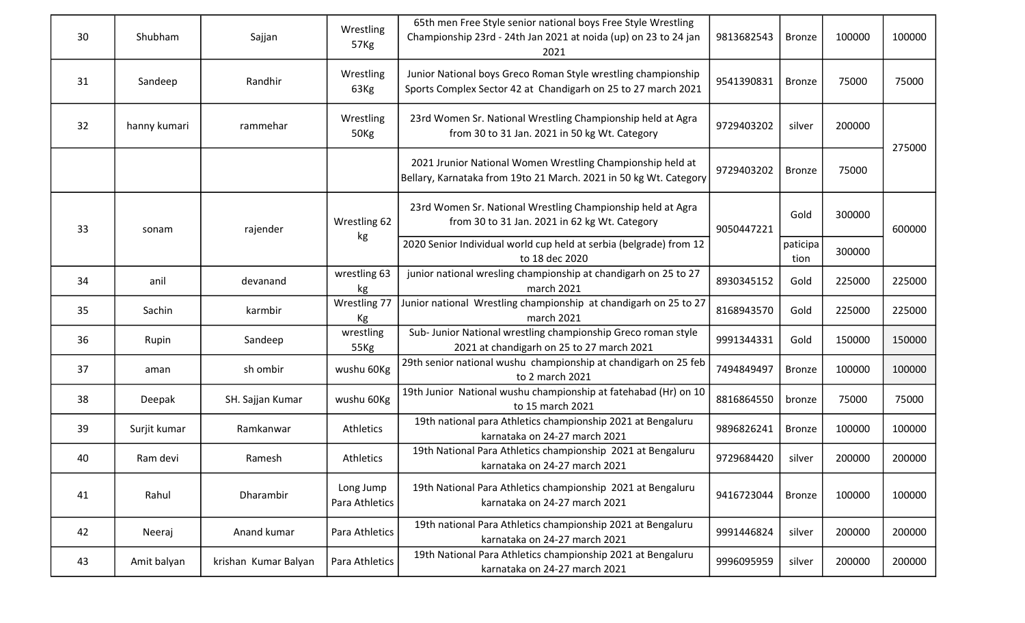| 30 | Shubham      | Sajjan               | Wrestling<br>57Kg                                                                    | 65th men Free Style senior national boys Free Style Wrestling<br>Championship 23rd - 24th Jan 2021 at noida (up) on 23 to 24 jan<br>2021 | 9813682543       | <b>Bronze</b> | 100000 | 100000 |
|----|--------------|----------------------|--------------------------------------------------------------------------------------|------------------------------------------------------------------------------------------------------------------------------------------|------------------|---------------|--------|--------|
| 31 | Sandeep      | Randhir              | Wrestling<br>63Kg                                                                    | Junior National boys Greco Roman Style wrestling championship<br>Sports Complex Sector 42 at Chandigarh on 25 to 27 march 2021           | 9541390831       | <b>Bronze</b> | 75000  | 75000  |
| 32 | hanny kumari | rammehar             | Wrestling<br>50Kg                                                                    | 23rd Women Sr. National Wrestling Championship held at Agra<br>from 30 to 31 Jan. 2021 in 50 kg Wt. Category                             | 9729403202       | silver        | 200000 | 275000 |
|    |              |                      |                                                                                      | 2021 Jrunior National Women Wrestling Championship held at<br>Bellary, Karnataka from 19to 21 March. 2021 in 50 kg Wt. Category          | 9729403202       | <b>Bronze</b> | 75000  |        |
| 33 | sonam        | rajender             | Wrestling 62                                                                         | 23rd Women Sr. National Wrestling Championship held at Agra<br>from 30 to 31 Jan. 2021 in 62 kg Wt. Category                             | 9050447221       | Gold          | 300000 | 600000 |
|    |              | kg                   | 2020 Senior Individual world cup held at serbia (belgrade) from 12<br>to 18 dec 2020 |                                                                                                                                          | paticipa<br>tion | 300000        |        |        |
| 34 | anil         | devanand             | wrestling 63<br>kg                                                                   | junior national wresling championship at chandigarh on 25 to 27<br>march 2021                                                            | 8930345152       | Gold          | 225000 | 225000 |
| 35 | Sachin       | karmbir              | Wrestling 77<br>Кg                                                                   | Junior national Wrestling championship at chandigarh on 25 to 27<br>march 2021                                                           | 8168943570       | Gold          | 225000 | 225000 |
| 36 | Rupin        | Sandeep              | wrestling<br>55Kg                                                                    | Sub-Junior National wrestling championship Greco roman style<br>2021 at chandigarh on 25 to 27 march 2021                                | 9991344331       | Gold          | 150000 | 150000 |
| 37 | aman         | sh ombir             | wushu 60Kg                                                                           | 29th senior national wushu championship at chandigarh on 25 feb<br>to 2 march 2021                                                       | 7494849497       | <b>Bronze</b> | 100000 | 100000 |
| 38 | Deepak       | SH. Sajjan Kumar     | wushu 60Kg                                                                           | 19th Junior National wushu championship at fatehabad (Hr) on 10<br>to 15 march 2021                                                      | 8816864550       | bronze        | 75000  | 75000  |
| 39 | Surjit kumar | Ramkanwar            | Athletics                                                                            | 19th national para Athletics championship 2021 at Bengaluru<br>karnataka on 24-27 march 2021                                             | 9896826241       | <b>Bronze</b> | 100000 | 100000 |
| 40 | Ram devi     | Ramesh               | <b>Athletics</b>                                                                     | 19th National Para Athletics championship 2021 at Bengaluru<br>karnataka on 24-27 march 2021                                             | 9729684420       | silver        | 200000 | 200000 |
| 41 | Rahul        | Dharambir            | Long Jump<br>Para Athletics                                                          | 19th National Para Athletics championship 2021 at Bengaluru<br>karnataka on 24-27 march 2021                                             | 9416723044       | <b>Bronze</b> | 100000 | 100000 |
| 42 | Neeraj       | Anand kumar          | Para Athletics                                                                       | 19th national Para Athletics championship 2021 at Bengaluru<br>karnataka on 24-27 march 2021                                             | 9991446824       | silver        | 200000 | 200000 |
| 43 | Amit balyan  | krishan Kumar Balyan | Para Athletics                                                                       | 19th National Para Athletics championship 2021 at Bengaluru<br>karnataka on 24-27 march 2021                                             | 9996095959       | silver        | 200000 | 200000 |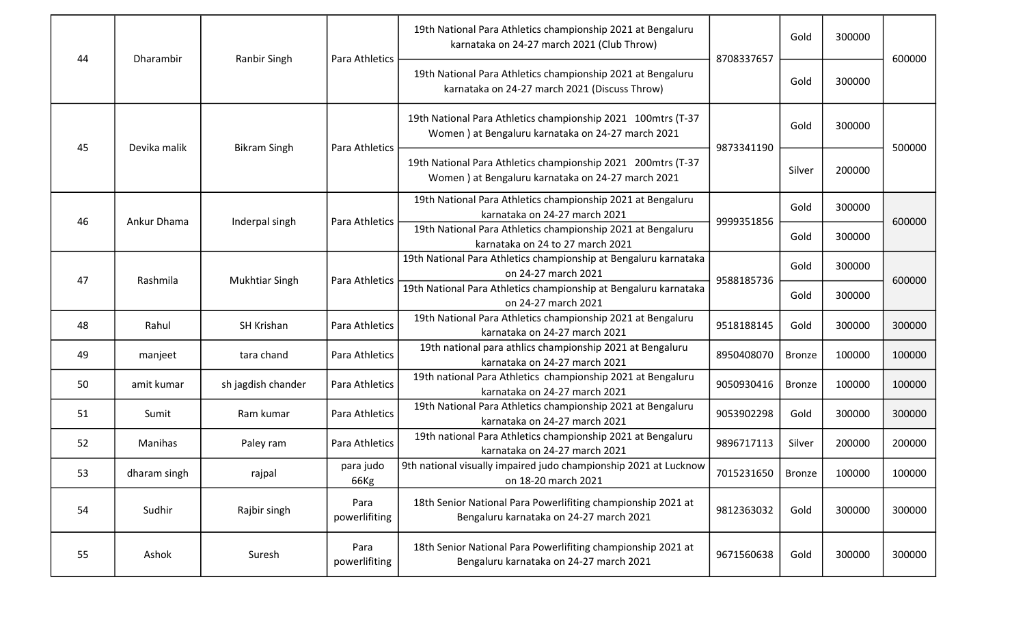| 44 | Dharambir    | <b>Ranbir Singh</b>           | Para Athletics        | 19th National Para Athletics championship 2021 at Bengaluru<br>karnataka on 24-27 march 2021 (Club Throw)          | 8708337657          | Gold          | 300000 | 600000                     |
|----|--------------|-------------------------------|-----------------------|--------------------------------------------------------------------------------------------------------------------|---------------------|---------------|--------|----------------------------|
|    |              |                               |                       | 19th National Para Athletics championship 2021 at Bengaluru<br>karnataka on 24-27 march 2021 (Discuss Throw)       |                     | Gold          | 300000 |                            |
|    | Devika malik | <b>Bikram Singh</b>           | Para Athletics        | 19th National Para Athletics championship 2021 100mtrs (T-37<br>Women ) at Bengaluru karnataka on 24-27 march 2021 | 9873341190          | Gold          | 300000 | 500000<br>600000<br>600000 |
| 45 |              |                               |                       | 19th National Para Athletics championship 2021 200mtrs (T-37<br>Women ) at Bengaluru karnataka on 24-27 march 2021 |                     | Silver        | 200000 |                            |
|    |              |                               |                       | 19th National Para Athletics championship 2021 at Bengaluru<br>karnataka on 24-27 march 2021                       |                     | Gold          | 300000 |                            |
| 46 |              | Ankur Dhama<br>Inderpal singh | Para Athletics        | 19th National Para Athletics championship 2021 at Bengaluru<br>karnataka on 24 to 27 march 2021                    | 9999351856          | Gold          | 300000 |                            |
|    |              | <b>Mukhtiar Singh</b>         | Para Athletics        | 19th National Para Athletics championship at Bengaluru karnataka<br>on 24-27 march 2021                            | 9588185736          | Gold          | 300000 |                            |
| 47 | Rashmila     |                               |                       | 19th National Para Athletics championship at Bengaluru karnataka<br>on 24-27 march 2021                            |                     | Gold          | 300000 |                            |
| 48 | Rahul        | SH Krishan                    | Para Athletics        | 19th National Para Athletics championship 2021 at Bengaluru<br>karnataka on 24-27 march 2021                       | 9518188145          | Gold          | 300000 | 300000                     |
| 49 | manjeet      | tara chand                    | Para Athletics        | 19th national para athlics championship 2021 at Bengaluru<br>karnataka on 24-27 march 2021                         | 8950408070          | <b>Bronze</b> | 100000 | 100000                     |
| 50 | amit kumar   | sh jagdish chander            | Para Athletics        | 19th national Para Athletics championship 2021 at Bengaluru<br>karnataka on 24-27 march 2021                       | 9050930416          | <b>Bronze</b> | 100000 | 100000                     |
| 51 | Sumit        | Ram kumar                     | Para Athletics        | 19th National Para Athletics championship 2021 at Bengaluru<br>karnataka on 24-27 march 2021                       | 9053902298          | Gold          | 300000 | 300000                     |
| 52 | Manihas      | Paley ram                     | Para Athletics        | 19th national Para Athletics championship 2021 at Bengaluru<br>karnataka on 24-27 march 2021                       | 9896717113          | Silver        | 200000 | 200000                     |
| 53 | dharam singh | rajpal                        | para judo<br>66Kg     | 9th national visually impaired judo championship 2021 at Lucknow<br>on 18-20 march 2021                            | 7015231650   Bronze |               | 100000 | 100000                     |
| 54 | Sudhir       | Rajbir singh                  | Para<br>powerlifiting | 18th Senior National Para Powerlifiting championship 2021 at<br>Bengaluru karnataka on 24-27 march 2021            | 9812363032          | Gold          | 300000 | 300000                     |
| 55 | Ashok        | Suresh                        | Para<br>powerlifiting | 18th Senior National Para Powerlifiting championship 2021 at<br>Bengaluru karnataka on 24-27 march 2021            | 9671560638          | Gold          | 300000 | 300000                     |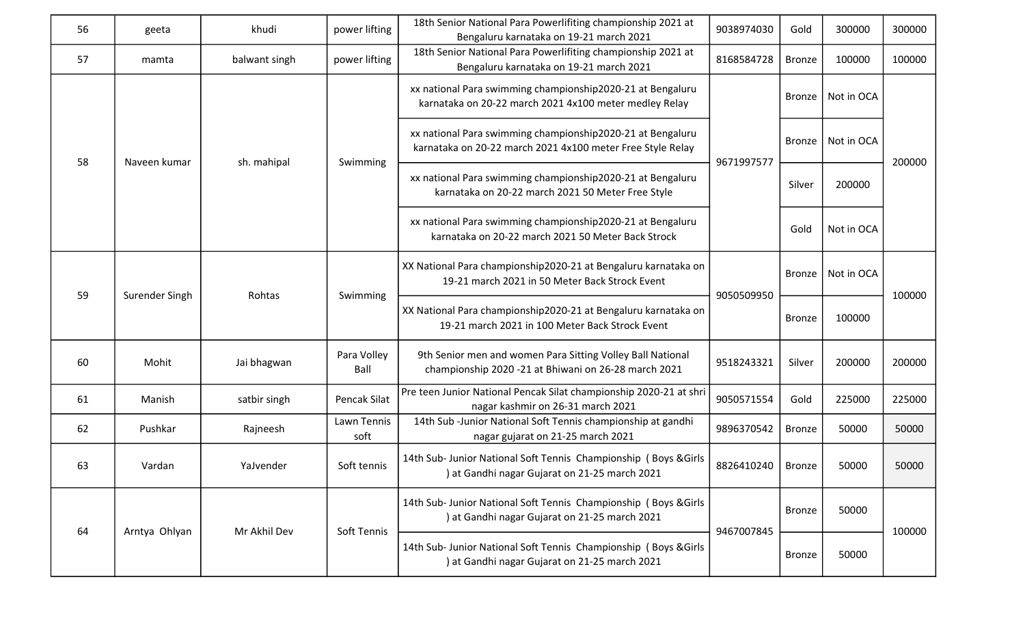| 56 | geeta          | khudi         | power lifting       | 18th Senior National Para Powerlifiting championship 2021 at<br>Bengaluru karnataka on 19-21 march 2021              | 9038974030                                                                                                               | Gold          | 300000        | 300000                     |  |
|----|----------------|---------------|---------------------|----------------------------------------------------------------------------------------------------------------------|--------------------------------------------------------------------------------------------------------------------------|---------------|---------------|----------------------------|--|
| 57 | mamta          | balwant singh | power lifting       | 18th Senior National Para Powerlifiting championship 2021 at<br>Bengaluru karnataka on 19-21 march 2021              | 8168584728                                                                                                               | <b>Bronze</b> | 100000        | 100000                     |  |
|    |                |               |                     | xx national Para swimming championship2020-21 at Bengaluru<br>karnataka on 20-22 march 2021 4x100 meter medley Relay |                                                                                                                          | <b>Bronze</b> | Not in OCA    | 200000<br>100000<br>200000 |  |
| 58 |                | Naveen kumar  |                     |                                                                                                                      | xx national Para swimming championship2020-21 at Bengaluru<br>karnataka on 20-22 march 2021 4x100 meter Free Style Relay |               | <b>Bronze</b> | Not in OCA                 |  |
|    |                | sh. mahipal   | Swimming            | xx national Para swimming championship2020-21 at Bengaluru<br>karnataka on 20-22 march 2021 50 Meter Free Style      | 9671997577                                                                                                               | Silver        | 200000        |                            |  |
|    |                |               |                     | xx national Para swimming championship2020-21 at Bengaluru<br>karnataka on 20-22 march 2021 50 Meter Back Strock     |                                                                                                                          | Gold          | Not in OCA    |                            |  |
| 59 | Surender Singh | Rohtas        | Swimming            | XX National Para championship2020-21 at Bengaluru karnataka on<br>19-21 march 2021 in 50 Meter Back Strock Event     | 9050509950                                                                                                               | <b>Bronze</b> | Not in OCA    |                            |  |
|    |                |               |                     | XX National Para championship2020-21 at Bengaluru karnataka on<br>19-21 march 2021 in 100 Meter Back Strock Event    |                                                                                                                          | <b>Bronze</b> | 100000        |                            |  |
| 60 | Mohit          | Jai bhagwan   | Para Volley<br>Ball | 9th Senior men and women Para Sitting Volley Ball National<br>championship 2020 -21 at Bhiwani on 26-28 march 2021   | 9518243321                                                                                                               | Silver        | 200000        |                            |  |
| 61 | Manish         | satbir singh  | Pencak Silat        | Pre teen Junior National Pencak Silat championship 2020-21 at shri<br>nagar kashmir on 26-31 march 2021              | 9050571554                                                                                                               | Gold          | 225000        | 225000                     |  |
| 62 | Pushkar        | Rajneesh      | Lawn Tennis<br>soft | 14th Sub-Junior National Soft Tennis championship at gandhi<br>nagar gujarat on 21-25 march 2021                     | 9896370542                                                                                                               | <b>Bronze</b> | 50000         | 50000                      |  |
| 63 | Vardan         | YaJvender     | Soft tennis         | 14th Sub- Junior National Soft Tennis Championship (Boys & Girls<br>) at Gandhi nagar Gujarat on 21-25 march 2021    | 8826410240                                                                                                               | <b>Bronze</b> | 50000         | 50000                      |  |
|    |                |               |                     | 14th Sub- Junior National Soft Tennis Championship ( Boys & Girls<br>) at Gandhi nagar Gujarat on 21-25 march 2021   |                                                                                                                          | <b>Bronze</b> | 50000         |                            |  |
| 64 | Arntya Ohlyan  | Mr Akhil Dev  | Soft Tennis         | 14th Sub- Junior National Soft Tennis Championship (Boys & Girls<br>) at Gandhi nagar Gujarat on 21-25 march 2021    | 9467007845                                                                                                               | <b>Bronze</b> | 50000         | 100000                     |  |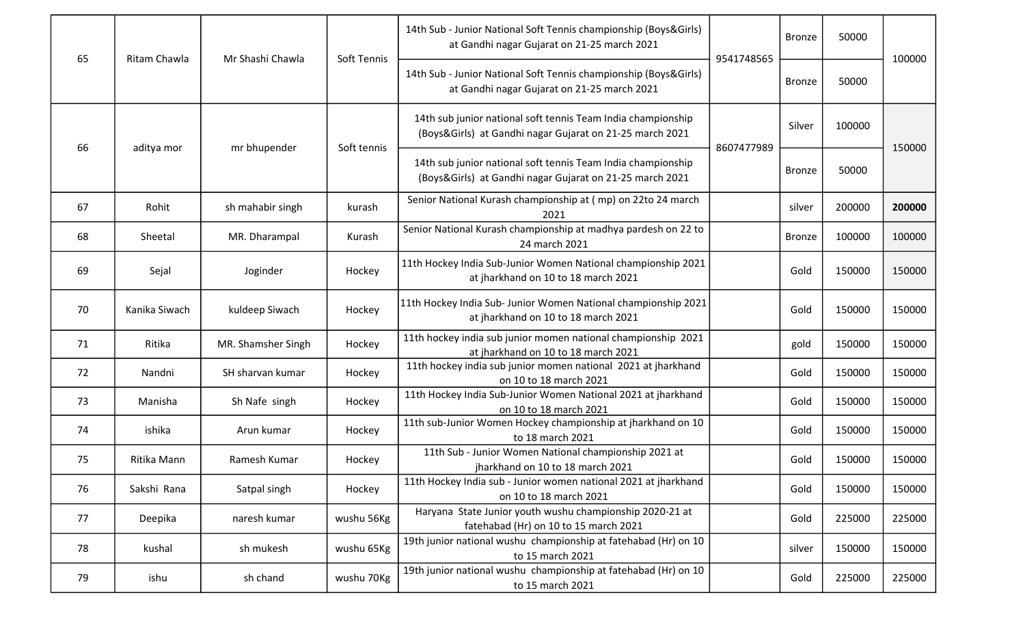| 65 | Ritam Chawla  | Mr Shashi Chawla   | Soft Tennis | 14th Sub - Junior National Soft Tennis championship (Boys&Girls)<br>at Gandhi nagar Gujarat on 21-25 march 2021          | 9541748565 | <b>Bronze</b> | 50000  | 100000 |
|----|---------------|--------------------|-------------|--------------------------------------------------------------------------------------------------------------------------|------------|---------------|--------|--------|
|    |               |                    |             | 14th Sub - Junior National Soft Tennis championship (Boys&Girls)<br>at Gandhi nagar Gujarat on 21-25 march 2021          |            | <b>Bronze</b> | 50000  |        |
|    |               |                    | Soft tennis | 14th sub junior national soft tennis Team India championship<br>(Boys&Girls) at Gandhi nagar Gujarat on 21-25 march 2021 | 8607477989 | Silver        | 100000 | 150000 |
| 66 | aditya mor    | mr bhupender       |             | 14th sub junior national soft tennis Team India championship<br>(Boys&Girls) at Gandhi nagar Gujarat on 21-25 march 2021 |            | <b>Bronze</b> | 50000  |        |
| 67 | Rohit         | sh mahabir singh   | kurash      | Senior National Kurash championship at (mp) on 22to 24 march<br>2021                                                     |            | silver        | 200000 | 200000 |
| 68 | Sheetal       | MR. Dharampal      | Kurash      | Senior National Kurash championship at madhya pardesh on 22 to<br>24 march 2021                                          |            | <b>Bronze</b> | 100000 | 100000 |
| 69 | Sejal         | Joginder           | Hockey      | 11th Hockey India Sub-Junior Women National championship 2021<br>at jharkhand on 10 to 18 march 2021                     |            | Gold          | 150000 | 150000 |
| 70 | Kanika Siwach | kuldeep Siwach     | Hockey      | 11th Hockey India Sub- Junior Women National championship 2021<br>at jharkhand on 10 to 18 march 2021                    |            | Gold          | 150000 | 150000 |
| 71 | Ritika        | MR. Shamsher Singh | Hockey      | 11th hockey india sub junior momen national championship 2021<br>at jharkhand on 10 to 18 march 2021                     |            | gold          | 150000 | 150000 |
| 72 | Nandni        | SH sharvan kumar   | Hockey      | 11th hockey india sub junior momen national 2021 at jharkhand<br>on 10 to 18 march 2021                                  |            | Gold          | 150000 | 150000 |
| 73 | Manisha       | Sh Nafe singh      | Hockey      | 11th Hockey India Sub-Junior Women National 2021 at jharkhand<br>on 10 to 18 march 2021                                  |            | Gold          | 150000 | 150000 |
| 74 | ishika        | Arun kumar         | Hockey      | 11th sub-Junior Women Hockey championship at jharkhand on 10<br>to 18 march 2021                                         |            | Gold          | 150000 | 150000 |
| 75 | Ritika Mann   | Ramesh Kumar       | Hockey      | 11th Sub - Junior Women National championship 2021 at<br>jharkhand on 10 to 18 march 2021                                |            | Gold          | 150000 | 150000 |
| 76 | Sakshi Rana   | Satpal singh       | Hockey      | 11th Hockey India sub - Junior women national 2021 at jharkhand<br>on 10 to 18 march 2021                                |            | Gold          | 150000 | 150000 |
| 77 | Deepika       | naresh kumar       | wushu 56Kg  | Haryana State Junior youth wushu championship 2020-21 at<br>fatehabad (Hr) on 10 to 15 march 2021                        |            | Gold          | 225000 | 225000 |
| 78 | kushal        | sh mukesh          | wushu 65Kg  | 19th junior national wushu championship at fatehabad (Hr) on 10<br>to 15 march 2021                                      |            | silver        | 150000 | 150000 |
| 79 | ishu          | sh chand           | wushu 70Kg  | 19th junior national wushu championship at fatehabad (Hr) on 10<br>to 15 march 2021                                      |            | Gold          | 225000 | 225000 |